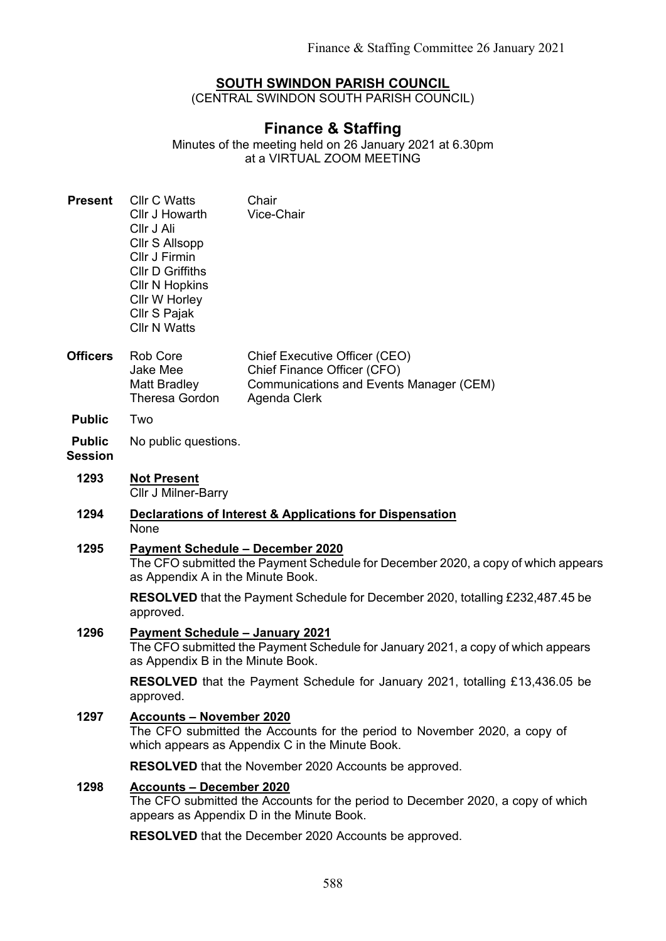## **SOUTH SWINDON PARISH COUNCIL**

(CENTRAL SWINDON SOUTH PARISH COUNCIL)

## **Finance & Staffing**

Minutes of the meeting held on 26 January 2021 at 6.30pm at a VIRTUAL ZOOM MEETING

| <b>Present</b>                  | <b>Cllr C Watts</b><br>Cllr J Howarth<br>Cllr J Ali<br>Cllr S Allsopp<br>Cllr J Firmin<br><b>CIIr D Griffiths</b><br><b>CIIr N Hopkins</b><br>Cllr W Horley<br>Cllr S Pajak<br><b>Cllr N Watts</b> | Chair<br>Vice-Chair                                                                                                     |
|---------------------------------|----------------------------------------------------------------------------------------------------------------------------------------------------------------------------------------------------|-------------------------------------------------------------------------------------------------------------------------|
| <b>Officers</b>                 | Rob Core<br>Jake Mee<br><b>Matt Bradley</b><br><b>Theresa Gordon</b>                                                                                                                               | Chief Executive Officer (CEO)<br>Chief Finance Officer (CFO)<br>Communications and Events Manager (CEM)<br>Agenda Clerk |
| <b>Public</b>                   | Two                                                                                                                                                                                                |                                                                                                                         |
| <b>Public</b><br><b>Session</b> | No public questions.                                                                                                                                                                               |                                                                                                                         |
| 1293                            | <b>Not Present</b><br>Cllr J Milner-Barry                                                                                                                                                          |                                                                                                                         |
| 1294                            | Declarations of Interest & Applications for Dispensation<br>None                                                                                                                                   |                                                                                                                         |
| 1295                            | <b>Payment Schedule - December 2020</b><br>The CFO submitted the Payment Schedule for December 2020, a copy of which appears<br>as Appendix A in the Minute Book.                                  |                                                                                                                         |
|                                 | approved.                                                                                                                                                                                          | <b>RESOLVED</b> that the Payment Schedule for December 2020, totalling £232,487.45 be                                   |
| 1296                            | <b>Payment Schedule - January 2021</b><br>The CFO submitted the Payment Schedule for January 2021, a copy of which appears<br>as Appendix B in the Minute Book.                                    |                                                                                                                         |
|                                 | <b>RESOLVED</b> that the Payment Schedule for January 2021, totalling £13,436.05 be<br>approved.                                                                                                   |                                                                                                                         |
| 1297                            | <b>Accounts - November 2020</b><br>The CFO submitted the Accounts for the period to November 2020, a copy of<br>which appears as Appendix C in the Minute Book.                                    |                                                                                                                         |
|                                 |                                                                                                                                                                                                    | <b>RESOLVED</b> that the November 2020 Accounts be approved.                                                            |
| 1298                            | <b>Accounts - December 2020</b><br>The CFO submitted the Accounts for the period to December 2020, a copy of which<br>appears as Appendix D in the Minute Book.                                    |                                                                                                                         |
|                                 |                                                                                                                                                                                                    | RESOLVED that the December 2020 Accounts be approved.                                                                   |
|                                 |                                                                                                                                                                                                    |                                                                                                                         |